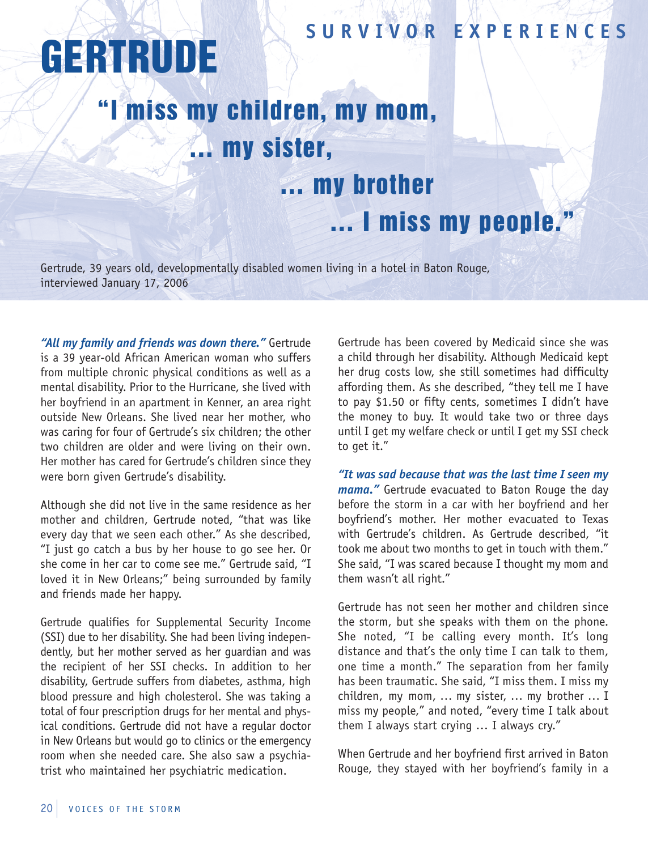## **SUR V I V OR EX P ER I ENCES**

## **GERTRUDE**

## "I miss my children, my mom, … my sister, … my brother … I miss my people."

Gertrude, 39 years old, developmentally disabled women living in a hotel in Baton Rouge, interviewed January 17, 2006

*"All my family and friends was down there."* Gertrude is a 39 year-old African American woman who suffers from multiple chronic physical conditions as well as a mental disability. Prior to the Hurricane, she lived with her boyfriend in an apartment in Kenner, an area right outside New Orleans. She lived near her mother, who was caring for four of Gertrude's six children; the other two children are older and were living on their own. Her mother has cared for Gertrude's children since they were born given Gertrude's disability.

Although she did not live in the same residence as her mother and children, Gertrude noted, "that was like every day that we seen each other." As she described, "I just go catch a bus by her house to go see her. Or she come in her car to come see me." Gertrude said, "I loved it in New Orleans;" being surrounded by family and friends made her happy.

Gertrude qualifies for Supplemental Security Income (SSI) due to her disability. She had been living independently, but her mother served as her guardian and was the recipient of her SSI checks. In addition to her disability, Gertrude suffers from diabetes, asthma, high blood pressure and high cholesterol. She was taking a total of four prescription drugs for her mental and physical conditions. Gertrude did not have a regular doctor in New Orleans but would go to clinics or the emergency room when she needed care. She also saw a psychiatrist who maintained her psychiatric medication.

Gertrude has been covered by Medicaid since she was a child through her disability. Although Medicaid kept her drug costs low, she still sometimes had difficulty affording them. As she described, "they tell me I have to pay \$1.50 or fifty cents, sometimes I didn't have the money to buy. It would take two or three days until I get my welfare check or until I get my SSI check to get it."

*"It was sad because that was the last time I seen my mama."* Gertrude evacuated to Baton Rouge the day before the storm in a car with her boyfriend and her boyfriend's mother. Her mother evacuated to Texas with Gertrude's children. As Gertrude described, "it took me about two months to get in touch with them." She said, "I was scared because I thought my mom and them wasn't all right."

Gertrude has not seen her mother and children since the storm, but she speaks with them on the phone. She noted, "I be calling every month. It's long distance and that's the only time I can talk to them, one time a month." The separation from her family has been traumatic. She said, "I miss them. I miss my children, my mom, … my sister, … my brother … I miss my people," and noted, "every time I talk about them I always start crying … I always cry."

When Gertrude and her boyfriend first arrived in Baton Rouge, they stayed with her boyfriend's family in a